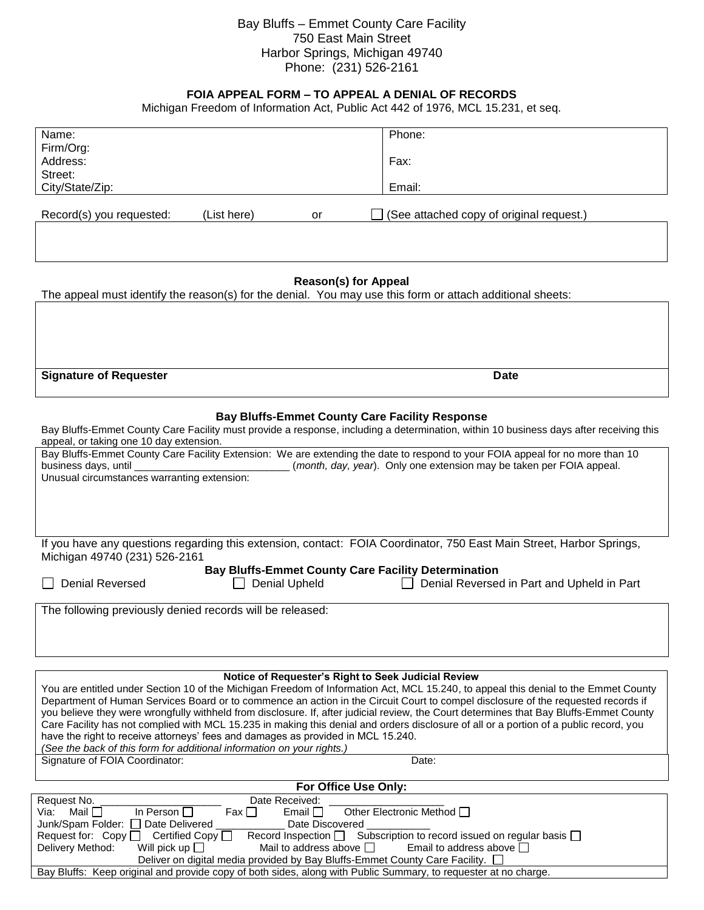## Bay Bluffs – Emmet County Care Facility 750 East Main Street Harbor Springs, Michigan 49740 Phone: (231) 526-2161

## **FOIA APPEAL FORM – TO APPEAL A DENIAL OF RECORDS**

Michigan Freedom of Information Act, Public Act 442 of 1976, MCL 15.231, et seq.

| Name:                                                                                                                                                                                                                                                                                                                                                                                                                                                                                                                                                                                                                                                                                                                                                                              |               | Phone:                                     |
|------------------------------------------------------------------------------------------------------------------------------------------------------------------------------------------------------------------------------------------------------------------------------------------------------------------------------------------------------------------------------------------------------------------------------------------------------------------------------------------------------------------------------------------------------------------------------------------------------------------------------------------------------------------------------------------------------------------------------------------------------------------------------------|---------------|--------------------------------------------|
| Firm/Org:                                                                                                                                                                                                                                                                                                                                                                                                                                                                                                                                                                                                                                                                                                                                                                          |               |                                            |
| Address:                                                                                                                                                                                                                                                                                                                                                                                                                                                                                                                                                                                                                                                                                                                                                                           |               | Fax:                                       |
| Street:                                                                                                                                                                                                                                                                                                                                                                                                                                                                                                                                                                                                                                                                                                                                                                            |               |                                            |
| City/State/Zip:                                                                                                                                                                                                                                                                                                                                                                                                                                                                                                                                                                                                                                                                                                                                                                    |               | Email:                                     |
|                                                                                                                                                                                                                                                                                                                                                                                                                                                                                                                                                                                                                                                                                                                                                                                    |               |                                            |
| Record(s) you requested:<br>(List here)                                                                                                                                                                                                                                                                                                                                                                                                                                                                                                                                                                                                                                                                                                                                            | or            | (See attached copy of original request.)   |
|                                                                                                                                                                                                                                                                                                                                                                                                                                                                                                                                                                                                                                                                                                                                                                                    |               |                                            |
| <b>Reason(s) for Appeal</b><br>The appeal must identify the reason(s) for the denial. You may use this form or attach additional sheets:                                                                                                                                                                                                                                                                                                                                                                                                                                                                                                                                                                                                                                           |               |                                            |
|                                                                                                                                                                                                                                                                                                                                                                                                                                                                                                                                                                                                                                                                                                                                                                                    |               |                                            |
| <b>Signature of Requester</b>                                                                                                                                                                                                                                                                                                                                                                                                                                                                                                                                                                                                                                                                                                                                                      |               | <b>Date</b>                                |
| <b>Bay Bluffs-Emmet County Care Facility Response</b><br>Bay Bluffs-Emmet County Care Facility must provide a response, including a determination, within 10 business days after receiving this<br>appeal, or taking one 10 day extension.                                                                                                                                                                                                                                                                                                                                                                                                                                                                                                                                         |               |                                            |
| Bay Bluffs-Emmet County Care Facility Extension: We are extending the date to respond to your FOIA appeal for no more than 10<br>business days, until<br>(month, day, year). Only one extension may be taken per FOIA appeal.<br>Unusual circumstances warranting extension:                                                                                                                                                                                                                                                                                                                                                                                                                                                                                                       |               |                                            |
| If you have any questions regarding this extension, contact: FOIA Coordinator, 750 East Main Street, Harbor Springs,<br>Michigan 49740 (231) 526-2161<br><b>Bay Bluffs-Emmet County Care Facility Determination</b>                                                                                                                                                                                                                                                                                                                                                                                                                                                                                                                                                                |               |                                            |
| <b>Denial Reversed</b>                                                                                                                                                                                                                                                                                                                                                                                                                                                                                                                                                                                                                                                                                                                                                             | Denial Upheld | Denial Reversed in Part and Upheld in Part |
| The following previously denied records will be released:                                                                                                                                                                                                                                                                                                                                                                                                                                                                                                                                                                                                                                                                                                                          |               |                                            |
|                                                                                                                                                                                                                                                                                                                                                                                                                                                                                                                                                                                                                                                                                                                                                                                    |               |                                            |
| Notice of Requester's Right to Seek Judicial Review<br>You are entitled under Section 10 of the Michigan Freedom of Information Act, MCL 15.240, to appeal this denial to the Emmet County<br>Department of Human Services Board or to commence an action in the Circuit Court to compel disclosure of the requested records if<br>you believe they were wrongfully withheld from disclosure. If, after judicial review, the Court determines that Bay Bluffs-Emmet County<br>Care Facility has not complied with MCL 15.235 in making this denial and orders disclosure of all or a portion of a public record, you<br>have the right to receive attorneys' fees and damages as provided in MCL 15.240.<br>(See the back of this form for additional information on your rights.) |               |                                            |
| Signature of FOIA Coordinator:<br>Date:                                                                                                                                                                                                                                                                                                                                                                                                                                                                                                                                                                                                                                                                                                                                            |               |                                            |
|                                                                                                                                                                                                                                                                                                                                                                                                                                                                                                                                                                                                                                                                                                                                                                                    |               |                                            |
| For Office Use Only:                                                                                                                                                                                                                                                                                                                                                                                                                                                                                                                                                                                                                                                                                                                                                               |               |                                            |
| Request No.<br>Date Received:                                                                                                                                                                                                                                                                                                                                                                                                                                                                                                                                                                                                                                                                                                                                                      |               |                                            |
| Mail $\square$<br>In Person $\square$<br>Other Electronic Method □<br>Fax<br>Email $\Box$<br>Via:                                                                                                                                                                                                                                                                                                                                                                                                                                                                                                                                                                                                                                                                                  |               |                                            |
| Junk/Spam Folder: 0<br>Date Delivered<br>Date Discovered                                                                                                                                                                                                                                                                                                                                                                                                                                                                                                                                                                                                                                                                                                                           |               |                                            |
| Subscription to record issued on regular basis $\square$<br>Record Inspection <sub>D</sub><br>Request for: Copy $\square$<br>Certified Copy                                                                                                                                                                                                                                                                                                                                                                                                                                                                                                                                                                                                                                        |               |                                            |

Delivery Method: Will pick up  $\Box$  Mail to address above  $\Box$  Email to address above  $\Box$ Deliver on digital media provided by Bay Bluffs-Emmet County Care Facility.  $\square$ 

Bay Bluffs: Keep original and provide copy of both sides, along with Public Summary, to requester at no charge.